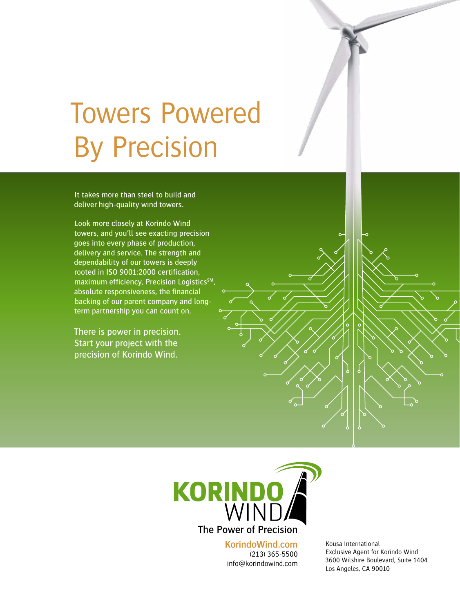# Towers Powered By Precision

It takes more than steel to build and deliver high-quality wind towers.

Look more closely at Korindo Wind towers, and you'll see exacting precision goes into every phase of production, delivery and service. The strength and dependability of our towers is deeply rooted in ISO 9001:2000 certification, maximum efficiency, Precision Logistics<sup>SM</sup> absolute responsiveness, the financial backing of our parent company and longterm partnership you can count on.

There is power in precision. Start your project with the precision of Korindo Wind.



**KorindoWind.com** (213) 365-5500 info@korindowind.com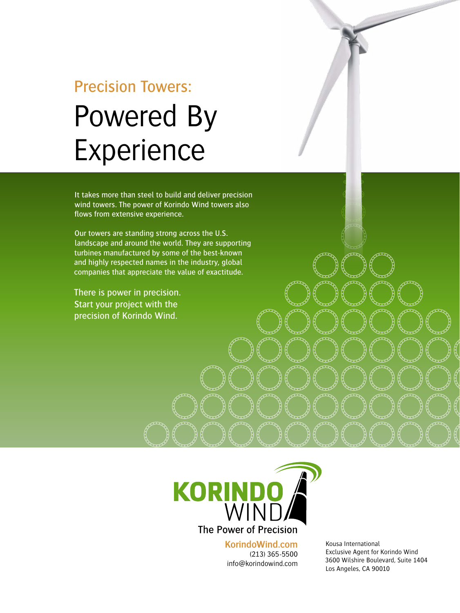## Precision Towers: Powered By Experience

It takes more than steel to build and deliver precision wind towers. The power of Korindo Wind towers also flows from extensive experience.

Our towers are standing strong across the U.S. landscape and around the world. They are supporting turbines manufactured by some of the best-known and highly respected names in the industry, global companies that appreciate the value of exactitude.

There is power in precision. Start your project with the precision of Korindo Wind.



**KorindoWind.com** (213) 365-5500 info@korindowind.com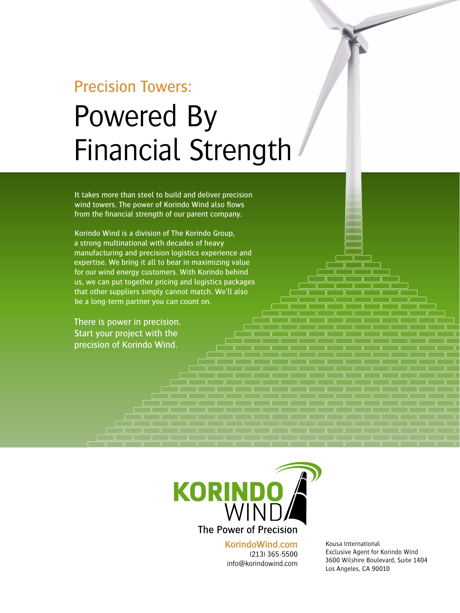## Precision Towers: Powered By Financial Strength

It takes more than steel to build and deliver precision wind towers. The power of Korindo Wind also flows from the financial strength of our parent company.

Korindo Wind is a division of The Korindo Group, a strong multinational with decades of heavy manufacturing and precision logistics experience and expertise. We bring it all to bear in maximizing value for our wind energy customers. With Korindo behind us, we can put together pricing and logistics packages that other suppliers simply cannot match. We'll also be a long-term partner you can count on.

There is power in precision. Start your project with the precision of Korindo Wind.



**KorindoWind.com** (213) 365-5500 info@korindowind.com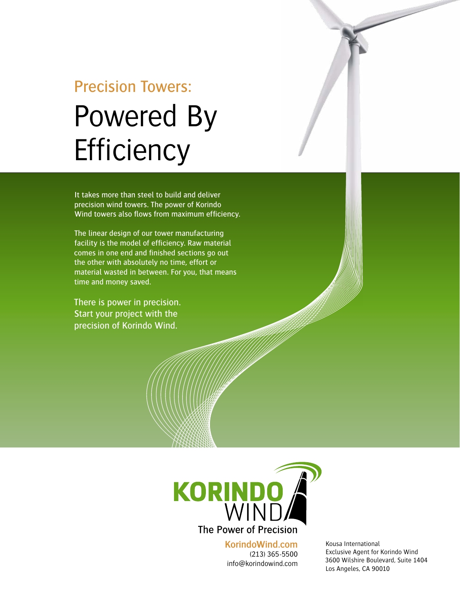## Precision Towers: Powered By **Efficiency**

It takes more than steel to build and deliver precision wind towers. The power of Korindo Wind towers also flows from maximum efficiency.

The linear design of our tower manufacturing facility is the model of efficiency. Raw material comes in one end and finished sections go out the other with absolutely no time, effort or material wasted in between. For you, that means time and money saved.

There is power in precision. Start your project with the precision of Korindo Wind.



**KorindoWind.com** (213) 365-5500 info@korindowind.com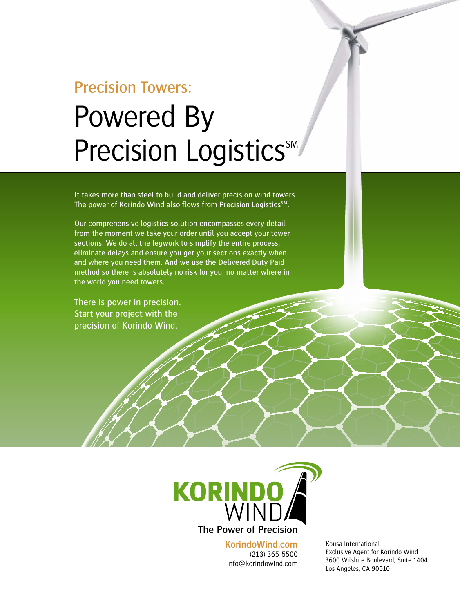## Precision Towers: Powered By Precision Logistics<sup>SM</sup>

It takes more than steel to build and deliver precision wind towers. The power of Korindo Wind also flows from Precision Logistics<sup>SM</sup>.

Our comprehensive logistics solution encompasses every detail from the moment we take your order until you accept your tower sections. We do all the legwork to simplify the entire process, eliminate delays and ensure you get your sections exactly when and where you need them. And we use the Delivered Duty Paid method so there is absolutely no risk for you, no matter where in the world you need towers.

There is power in precision. Start your project with the precision of Korindo Wind.



**KorindoWind.com** (213) 365-5500 info@korindowind.com